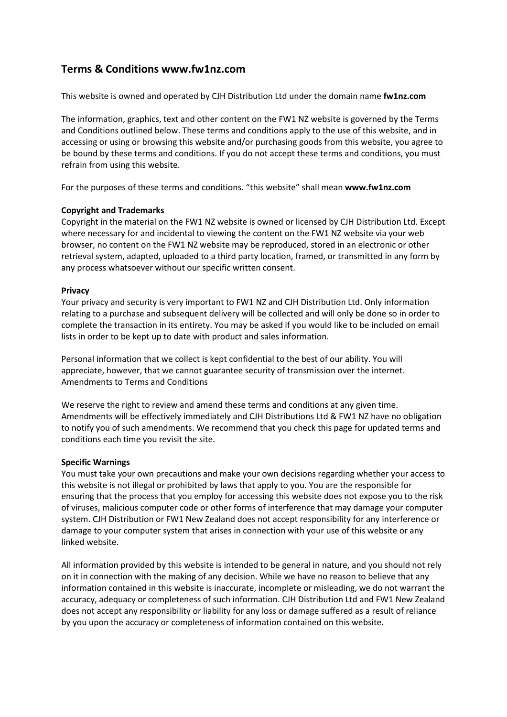# **Terms & Conditions www.fw1nz.com**

This website is owned and operated by CJH Distribution Ltd under the domain name **fw1nz.com**

The information, graphics, text and other content on the FW1 NZ website is governed by the Terms and Conditions outlined below. These terms and conditions apply to the use of this website, and in accessing or using or browsing this website and/or purchasing goods from this website, you agree to be bound by these terms and conditions. If you do not accept these terms and conditions, you must refrain from using this website.

For the purposes of these terms and conditions. "this website" shall mean **www.fw1nz.com**

## **Copyright and Trademarks**

Copyright in the material on the FW1 NZ website is owned or licensed by CJH Distribution Ltd. Except where necessary for and incidental to viewing the content on the FW1 NZ website via your web browser, no content on the FW1 NZ website may be reproduced, stored in an electronic or other retrieval system, adapted, uploaded to a third party location, framed, or transmitted in any form by any process whatsoever without our specific written consent.

## **Privacy**

Your privacy and security is very important to FW1 NZ and CJH Distribution Ltd. Only information relating to a purchase and subsequent delivery will be collected and will only be done so in order to complete the transaction in its entirety. You may be asked if you would like to be included on email lists in order to be kept up to date with product and sales information.

Personal information that we collect is kept confidential to the best of our ability. You will appreciate, however, that we cannot guarantee security of transmission over the internet. Amendments to Terms and Conditions

We reserve the right to review and amend these terms and conditions at any given time. Amendments will be effectively immediately and CJH Distributions Ltd & FW1 NZ have no obligation to notify you of such amendments. We recommend that you check this page for updated terms and conditions each time you revisit the site.

## **Specific Warnings**

You must take your own precautions and make your own decisions regarding whether your access to this website is not illegal or prohibited by laws that apply to you. You are the responsible for ensuring that the process that you employ for accessing this website does not expose you to the risk of viruses, malicious computer code or other forms of interference that may damage your computer system. CJH Distribution or FW1 New Zealand does not accept responsibility for any interference or damage to your computer system that arises in connection with your use of this website or any linked website.

All information provided by this website is intended to be general in nature, and you should not rely on it in connection with the making of any decision. While we have no reason to believe that any information contained in this website is inaccurate, incomplete or misleading, we do not warrant the accuracy, adequacy or completeness of such information. CJH Distribution Ltd and FW1 New Zealand does not accept any responsibility or liability for any loss or damage suffered as a result of reliance by you upon the accuracy or completeness of information contained on this website.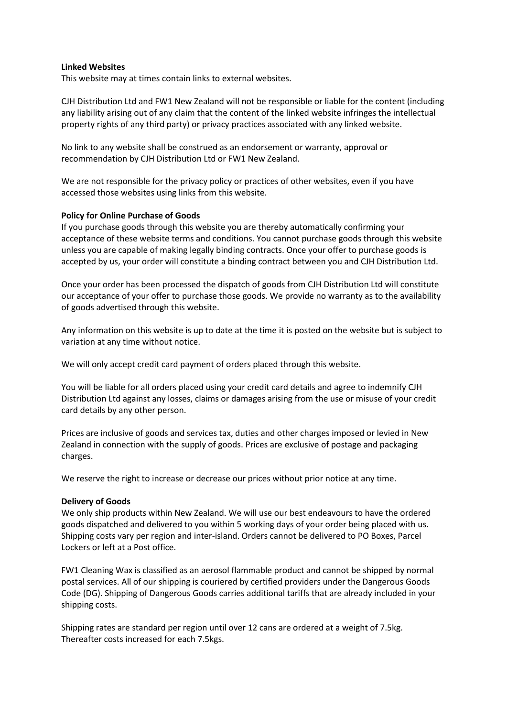#### **Linked Websites**

This website may at times contain links to external websites.

CJH Distribution Ltd and FW1 New Zealand will not be responsible or liable for the content (including any liability arising out of any claim that the content of the linked website infringes the intellectual property rights of any third party) or privacy practices associated with any linked website.

No link to any website shall be construed as an endorsement or warranty, approval or recommendation by CJH Distribution Ltd or FW1 New Zealand.

We are not responsible for the privacy policy or practices of other websites, even if you have accessed those websites using links from this website.

#### **Policy for Online Purchase of Goods**

If you purchase goods through this website you are thereby automatically confirming your acceptance of these website terms and conditions. You cannot purchase goods through this website unless you are capable of making legally binding contracts. Once your offer to purchase goods is accepted by us, your order will constitute a binding contract between you and CJH Distribution Ltd.

Once your order has been processed the dispatch of goods from CJH Distribution Ltd will constitute our acceptance of your offer to purchase those goods. We provide no warranty as to the availability of goods advertised through this website.

Any information on this website is up to date at the time it is posted on the website but is subject to variation at any time without notice.

We will only accept credit card payment of orders placed through this website.

You will be liable for all orders placed using your credit card details and agree to indemnify CJH Distribution Ltd against any losses, claims or damages arising from the use or misuse of your credit card details by any other person.

Prices are inclusive of goods and services tax, duties and other charges imposed or levied in New Zealand in connection with the supply of goods. Prices are exclusive of postage and packaging charges.

We reserve the right to increase or decrease our prices without prior notice at any time.

## **Delivery of Goods**

We only ship products within New Zealand. We will use our best endeavours to have the ordered goods dispatched and delivered to you within 5 working days of your order being placed with us. Shipping costs vary per region and inter-island. Orders cannot be delivered to PO Boxes, Parcel Lockers or left at a Post office.

FW1 Cleaning Wax is classified as an aerosol flammable product and cannot be shipped by normal postal services. All of our shipping is couriered by certified providers under the Dangerous Goods Code (DG). Shipping of Dangerous Goods carries additional tariffs that are already included in your shipping costs.

Shipping rates are standard per region until over 12 cans are ordered at a weight of 7.5kg. Thereafter costs increased for each 7.5kgs.